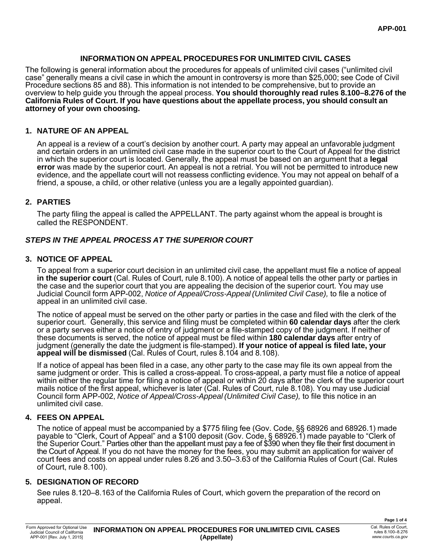## **INFORMATION ON APPEAL PROCEDURES FOR UNLIMITED CIVIL CASES**

The following is general information about the procedures for appeals of unlimited civil cases ("unlimited civil case" generally means a civil case in which the amount in controversy is more than \$25,000; see Code of Civil Procedure sections 85 and 88). This information is not intended to be comprehensive, but to provide an overview to help guide you through the appeal process. **You should thoroughly read rules 8.100–8.276 of the California Rules of Court. If you have questions about the appellate process, you should consult an attorney of your own choosing.**

### **1. NATURE OF AN APPEAL**

An appeal is a review of a court's decision by another court. A party may appeal an unfavorable judgment and certain orders in an unlimited civil case made in the superior court to the Court of Appeal for the district in which the superior court is located. Generally, the appeal must be based on an argument that a **legal error** was made by the superior court. An appeal is not a retrial. You will not be permitted to introduce new evidence, and the appellate court will not reassess conflicting evidence. You may not appeal on behalf of a friend, a spouse, a child, or other relative (unless you are a legally appointed guardian).

### **2. PARTIES**

The party filing the appeal is called the APPELLANT. The party against whom the appeal is brought is called the RESPONDENT.

## *STEPS IN THE APPEAL PROCESS AT THE SUPERIOR COURT*

### **3. NOTICE OF APPEAL**

To appeal from a superior court decision in an unlimited civil case, the appellant must file a notice of appeal **in the superior court** (Cal. Rules of Court, rule 8.100). A notice of appeal tells the other party or parties in the case and the superior court that you are appealing the decision of the superior court. You may use Judicial Council form APP-002, *Notice of Appeal/Cross-Appeal (Unlimited Civil Case),* to file a notice of appeal in an unlimited civil case.

The notice of appeal must be served on the other party or parties in the case and filed with the clerk of the superior court. Generally, this service and filing must be completed within **60 calendar days** after the clerk or a party serves either a notice of entry of judgment or a file-stamped copy of the judgment. If neither of these documents is served, the notice of appeal must be filed within **180 calendar days** after entry of judgment (generally the date the judgment is file-stamped). **If your notice of appeal is filed late, your**  appeal will be dismissed (Cal. Rules of Court, rules 8.104 and 8.108).

If a notice of appeal has been filed in a case, any other party to the case may file its own appeal from the same judgment or order. This is called a cross-appeal. To cross-appeal, a party must file a notice of appeal within either the regular time for filing a notice of appeal or within 20 days after the clerk of the superior court mails notice of the first appeal, whichever is later (Cal. Rules of Court, rule 8.108). You may use Judicial Council form APP-002, *Notice of Appeal/Cross-Appeal (Unlimited Civil Case),* to file this notice in an unlimited civil case.

### **4. FEES ON APPEAL**

The notice of appeal must be accompanied by a \$775 filing fee (Gov. Code, §§ 68926 and 68926.1) made payable to "Clerk, Court of Appeal" and a \$100 deposit (Gov. Code, § 68926.1) made payable to "Clerk of the Superior Court." Parties other than the appellant must pay a fee of \$390 when they file their first document in the Court of Appeal. If you do not have the money for the fees, you may submit an application for waiver of court fees and costs on appeal under rules 8.26 and 3.50–3.63 of the California Rules of Court (Cal. Rules of Court, rule 8.100).

### **5. DESIGNATION OF RECORD**

See rules 8.120–8.163 of the California Rules of Court, which govern the preparation of the record on appeal.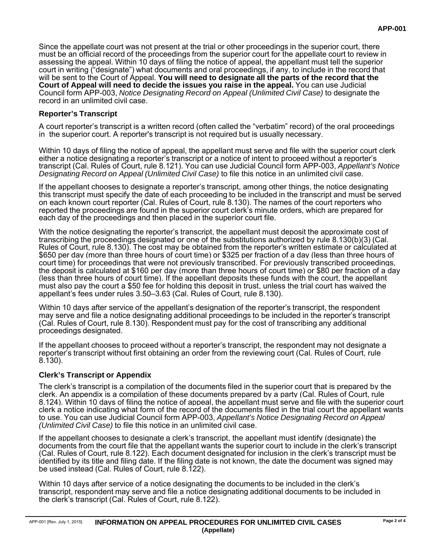Since the appellate court was not present at the trial or other proceedings in the superior court, there must be an official record of the proceedings from the superior court for the appellate court to review in assessing the appeal. Within 10 days of filing the notice of appeal, the appellant must tell the superior court in writing ("designate") what documents and oral proceedings, if any, to include in the record that will be sent to the Court of Appeal. **You will need to designate all the parts of the record that the Court of Appeal will need to decide the issues you raise in the appeal.** You can use Judicial Council form APP-003, *Notice Designating Record on Appeal (Unlimited Civil Case)* to designate the record in an unlimited civil case.

## **Reporter's Transcript**

A court reporter's transcript is a written record (often called the "verbatim" record) of the oral proceedings in the superior court. A reporter's transcript is not required but is usually necessary.

Within 10 days of filing the notice of appeal, the appellant must serve and file with the superior court clerk either a notice designating a reporter's transcript or a notice of intent to proceed without a reporter's transcript (Cal. Rules of Court, rule 8.121). You can use Judicial Council form APP-003, *Appellant's Notice Designating Record on Appeal (Unlimited Civil Case)* to file this notice in an unlimited civil case.

If the appellant chooses to designate a reporter's transcript, among other things, the notice designating this transcript must specify the date of each proceeding to be included in the transcript and must be served on each known court reporter (Cal. Rules of Court, rule 8.130). The names of the court reporters who reported the proceedings are found in the superior court clerk's minute orders, which are prepared for each day of the proceedings and then placed in the superior court file.

With the notice designating the reporter's transcript, the appellant must deposit the approximate cost of transcribing the proceedings designated or one of the substitutions authorized by rule 8.130(b)(3) (Cal. Rules of Court, rule 8.130). The cost may be obtained from the reporter's written estimate or calculated at \$650 per day (more than three hours of court time) or \$325 per fraction of a day (less than three hours of court time) for proceedings that were not previously transcribed. For previously transcribed proceedings, the deposit is calculated at \$160 per day (more than three hours of court time) or \$80 per fraction of a day (less than three hours of court time). If the appellant deposits these funds with the court, the appellant must also pay the court a \$50 fee for holding this deposit in trust, unless the trial court has waived the appellant's fees under rules 3.50–3.63 (Cal. Rules of Court, rule 8.130).

Within 10 days after service of the appellant's designation of the reporter's transcript, the respondent may serve and file a notice designating additional proceedings to be included in the reporter's transcript (Cal. Rules of Court, rule 8.130). Respondent must pay for the cost of transcribing any additional proceedings designated.

If the appellant chooses to proceed without a reporter's transcript, the respondent may not designate a reporter's transcript without first obtaining an order from the reviewing court (Cal. Rules of Court, rule 8.130).

## **Clerk's Transcript or Appendix**

The clerk's transcript is a compilation of the documents filed in the superior court that is prepared by the clerk. An appendix is a compilation of these documents prepared by a party (Cal. Rules of Court, rule 8.124). Within 10 days of filing the notice of appeal, the appellant must serve and file with the superior court clerk a notice indicating what form of the record of the documents filed in the trial court the appellant wants to use. You can use Judicial Council form APP-003, *Appellant's Notice Designating Record on Appeal (Unlimited Civil Case)* to file this notice in an unlimited civil case.

If the appellant chooses to designate a clerk's transcript, the appellant must identify (designate) the documents from the court file that the appellant wants the superior court to include in the clerk's transcript (Cal. Rules of Court, rule 8.122). Each document designated for inclusion in the clerk's transcript must be identified by its title and filing date. If the filing date is not known, the date the document was signed may be used instead (Cal. Rules of Court, rule 8.122).

Within 10 days after service of a notice designating the documents to be included in the clerk's transcript, respondent may serve and file a notice designating additional documents to be included in the clerk's transcript (Cal. Rules of Court, rule 8.122).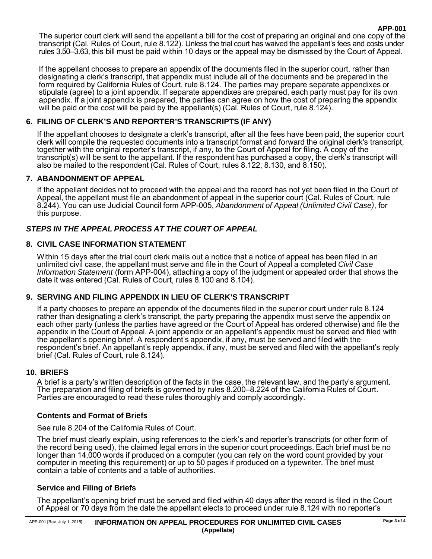The superior court clerk will send the appellant a bill for the cost of preparing an original and one copy of the transcript (Cal. Rules of Court, rule 8.122). Unless the trial court has waived the appellant's fees and costs under rules 3.50–3.63, this bill must be paid within 10 days or the appeal may be dismissed by the Court of Appeal.

If the appellant chooses to prepare an appendix of the documents filed in the superior court, rather than designating a clerk's transcript, that appendix must include all of the documents and be prepared in the form required by California Rules of Court, rule 8.124. The parties may prepare separate appendixes or stipulate (agree) to a joint appendix. If separate appendixes are prepared, each party must pay for its own appendix. If a joint appendix is prepared, the parties can agree on how the cost of preparing the appendix will be paid or the cost will be paid by the appellant(s) (Cal. Rules of Court, rule 8.124).

## **6. FILING OF CLERK'S AND REPORTER'S TRANSCRIPTS (IF ANY)**

If the appellant chooses to designate a clerk's transcript, after all the fees have been paid, the superior court clerk will compile the requested documents into a transcript format and forward the original clerk's transcript, together with the original reporter's transcript, if any, to the Court of Appeal for filing. A copy of the transcript(s) will be sent to the appellant. If the respondent has purchased a copy, the clerk's transcript will also be mailed to the respondent (Cal. Rules of Court, rules 8.122, 8.130, and 8.150).

### **7. ABANDONMENT OF APPEAL**

If the appellant decides not to proceed with the appeal and the record has not yet been filed in the Court of Appeal, the appellant must file an abandonment of appeal in the superior court (Cal. Rules of Court, rule 8.244). You can use Judicial Council form APP-005, *Abandonment of Appeal (Unlimited Civil Case)*, for this purpose.

# *STEPS IN THE APPEAL PROCESS AT THE COURT OF APPEAL*

### **8. CIVIL CASE INFORMATION STATEMENT**

Within 15 days after the trial court clerk mails out a notice that a notice of appeal has been filed in an unlimited civil case, the appellant must serve and file in the Court of Appeal a completed *Civil Case Information Statement* (form APP-004), attaching a copy of the judgment or appealed order that shows the date it was entered (Cal. Rules of Court, rules 8.100 and 8.104).

## **9. SERVING AND FILING APPENDIX IN LIEU OF CLERK'S TRANSCRIPT**

If a party chooses to prepare an appendix of the documents filed in the superior court under rule 8.124 rather than designating a clerk's transcript, the party preparing the appendix must serve the appendix on each other party (unless the parties have agreed or the Court of Appeal has ordered otherwise) and file the appendix in the Court of Appeal. A joint appendix or an appellant's appendix must be served and filed with the appellant's opening brief. A respondent's appendix, if any, must be served and filed with the respondent's brief. An appellant's reply appendix, if any, must be served and filed with the appellant's reply brief (Cal. Rules of Court, rule 8.124).

### **10. BRIEFS**

A brief is a party's written description of the facts in the case, the relevant law, and the party's argument. The preparation and filing of briefs is governed by rules 8.200–8.224 of the California Rules of Court. Parties are encouraged to read these rules thoroughly and comply accordingly.

### **Contents and Format of Briefs**

See rule 8.204 of the California Rules of Court.

The brief must clearly explain, using references to the clerk's and reporter's transcripts (or other form of the record being used), the claimed legal errors in the superior court proceedings. Each brief must be no longer than 14,000 words if produced on a computer (you can rely on the word count provided by your computer in meeting this requirement) or up to 50 pages if produced on a typewriter. The brief must contain a table of contents and a table of authorities.

### **Service and Filing of Briefs**

The appellant's opening brief must be served and filed within 40 days after the record is filed in the Court of Appeal or 70 days from the date the appellant elects to proceed under rule 8.124 with no reporter's